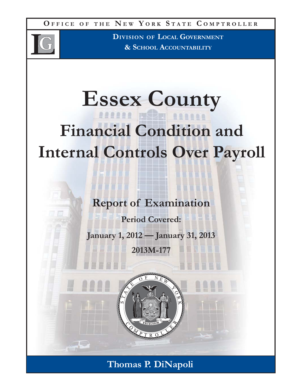**O FFICE O F THE N E W Y ORK S TATE C OMPTROLLER**



**DIVISION OF LOCAL GOVERNMENT & SCHOOL ACCOUNTABILITY**

# **Essex County Financial Condition and Internal Controls Over Payroll**

**Report of Examination**

**Period Covered:**

**January 1, 2012 — January 31, 2013 2013M-177**

**Thomas P. DiNapoli**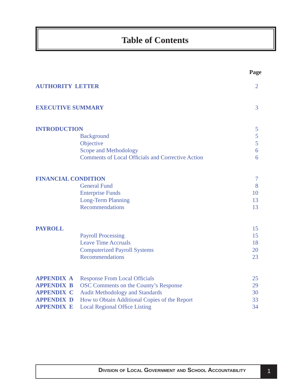# **Table of Contents**

|                            |                                                                                      | Page           |
|----------------------------|--------------------------------------------------------------------------------------|----------------|
| <b>AUTHORITY LETTER</b>    |                                                                                      | $\overline{2}$ |
| <b>EXECUTIVE SUMMARY</b>   |                                                                                      | 3              |
| <b>INTRODUCTION</b>        |                                                                                      | 5              |
|                            | <b>Background</b>                                                                    | 5              |
|                            | Objective                                                                            | 5              |
|                            | Scope and Methodology                                                                | 6              |
|                            | <b>Comments of Local Officials and Corrective Action</b>                             | 6              |
| <b>FINANCIAL CONDITION</b> |                                                                                      | 7              |
|                            | <b>General Fund</b>                                                                  | 8              |
|                            | <b>Enterprise Funds</b>                                                              | 10             |
|                            | <b>Long-Term Planning</b>                                                            | 13             |
|                            | Recommendations                                                                      | 13             |
| <b>PAYROLL</b>             |                                                                                      | 15             |
|                            | <b>Payroll Processing</b>                                                            | 15             |
|                            | <b>Leave Time Accruals</b>                                                           | 18             |
|                            | <b>Computerized Payroll Systems</b>                                                  | 20             |
|                            | <b>Recommendations</b>                                                               | 23             |
| <b>APPENDIX A</b>          |                                                                                      | 25             |
| <b>APPENDIX B</b>          | <b>Response From Local Officials</b><br><b>OSC Comments on the County's Response</b> | 29             |
| <b>APPENDIX C</b>          | <b>Audit Methodology and Standards</b>                                               | 30             |
| <b>APPENDIX D</b>          | How to Obtain Additional Copies of the Report                                        | 33             |
| <b>APPENDIX E</b>          | <b>Local Regional Office Listing</b>                                                 | 34             |
|                            |                                                                                      |                |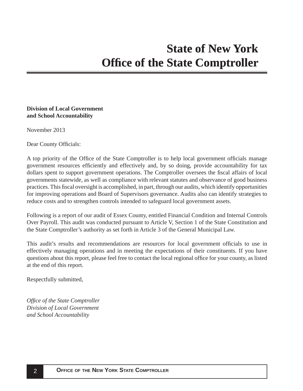#### <span id="page-2-0"></span>**Division of Local Government and School Accountability**

November 2013

Dear County Officials:

A top priority of the Office of the State Comptroller is to help local government officials manage government resources efficiently and effectively and, by so doing, provide accountability for tax dollars spent to support government operations. The Comptroller oversees the fiscal affairs of local governments statewide, as well as compliance with relevant statutes and observance of good business practices. This fiscal oversight is accomplished, in part, through our audits, which identify opportunities for improving operations and Board of Supervisors governance. Audits also can identify strategies to reduce costs and to strengthen controls intended to safeguard local government assets.

Following is a report of our audit of Essex County, entitled Financial Condition and Internal Controls Over Payroll. This audit was conducted pursuant to Article V, Section 1 of the State Constitution and the State Comptroller's authority as set forth in Article 3 of the General Municipal Law.

This audit's results and recommendations are resources for local government officials to use in effectively managing operations and in meeting the expectations of their constituents. If you have questions about this report, please feel free to contact the local regional office for your county, as listed at the end of this report.

Respectfully submitted,

*Offi ce of the State Comptroller Division of Local Government and School Accountability*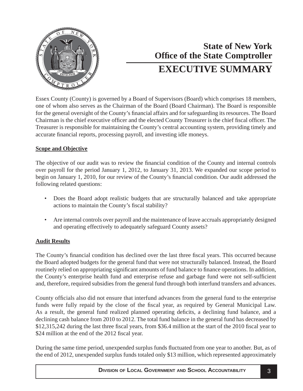<span id="page-3-0"></span>

# **Office of the State Comptroller State of New York EXECUTIVE SUMMARY**

Essex County (County) is governed by a Board of Supervisors (Board) which comprises 18 members, one of whom also serves as the Chairman of the Board (Board Chairman). The Board is responsible for the general oversight of the County's financial affairs and for safeguarding its resources. The Board Chairman is the chief executive officer and the elected County Treasurer is the chief fiscal officer. The Treasurer is responsible for maintaining the County's central accounting system, providing timely and accurate financial reports, processing payroll, and investing idle moneys.

#### **Scope and Objective**

The objective of our audit was to review the financial condition of the County and internal controls over payroll for the period January 1, 2012, to January 31, 2013. We expanded our scope period to begin on January 1, 2010, for our review of the County's financial condition. Our audit addressed the following related questions:

- Does the Board adopt realistic budgets that are structurally balanced and take appropriate actions to maintain the County's fiscal stability?
- Are internal controls over payroll and the maintenance of leave accruals appropriately designed and operating effectively to adequately safeguard County assets?

### **Audit Results**

The County's financial condition has declined over the last three fiscal years. This occurred because the Board adopted budgets for the general fund that were not structurally balanced. Instead, the Board routinely relied on appropriating significant amounts of fund balance to finance operations. In addition, the County's enterprise health fund and enterprise refuse and garbage fund were not self-sufficient and, therefore, required subsidies from the general fund through both interfund transfers and advances.

County officials also did not ensure that interfund advances from the general fund to the enterprise funds were fully repaid by the close of the fiscal year, as required by General Municipal Law. As a result, the general fund realized planned operating deficits, a declining fund balance, and a declining cash balance from 2010 to 2012. The total fund balance in the general fund has decreased by \$12,315,242 during the last three fiscal years, from \$36.4 million at the start of the 2010 fiscal year to \$24 million at the end of the 2012 fiscal year.

During the same time period, unexpended surplus funds fluctuated from one year to another. But, as of the end of 2012, unexpended surplus funds totaled only \$13 million, which represented approximately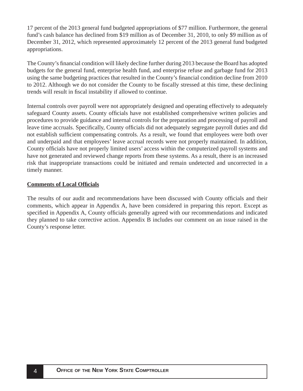17 percent of the 2013 general fund budgeted appropriations of \$77 million. Furthermore, the general fund's cash balance has declined from \$19 million as of December 31, 2010, to only \$9 million as of December 31, 2012, which represented approximately 12 percent of the 2013 general fund budgeted appropriations.

The County's financial condition will likely decline further during 2013 because the Board has adopted budgets for the general fund, enterprise health fund, and enterprise refuse and garbage fund for 2013 using the same budgeting practices that resulted in the County's financial condition decline from 2010 to 2012. Although we do not consider the County to be fiscally stressed at this time, these declining trends will result in fiscal instability if allowed to continue.

Internal controls over payroll were not appropriately designed and operating effectively to adequately safeguard County assets. County officials have not established comprehensive written policies and procedures to provide guidance and internal controls for the preparation and processing of payroll and leave time accruals. Specifically, County officials did not adequately segregate payroll duties and did not establish sufficient compensating controls. As a result, we found that employees were both over and underpaid and that employees' leave accrual records were not properly maintained. In addition, County officials have not properly limited users' access within the computerized payroll systems and have not generated and reviewed change reports from these systems. As a result, there is an increased risk that inappropriate transactions could be initiated and remain undetected and uncorrected in a timely manner.

#### **Comments of Local Officials**

The results of our audit and recommendations have been discussed with County officials and their comments, which appear in Appendix A, have been considered in preparing this report. Except as specified in Appendix A, County officials generally agreed with our recommendations and indicated they planned to take corrective action. Appendix B includes our comment on an issue raised in the County's response letter.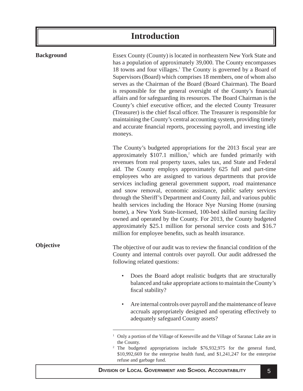# **Introduction**

<span id="page-5-0"></span>**Background**

**Objective**

Essex County (County) is located in northeastern New York State and has a population of approximately 39,000. The County encompasses 18 towns and four villages.<sup>1</sup> The County is governed by a Board of Supervisors (Board) which comprises 18 members, one of whom also serves as the Chairman of the Board (Board Chairman). The Board is responsible for the general oversight of the County's financial affairs and for safeguarding its resources. The Board Chairman is the County's chief executive officer, and the elected County Treasurer (Treasurer) is the chief fiscal officer. The Treasurer is responsible for maintaining the County's central accounting system, providing timely and accurate financial reports, processing payroll, and investing idle moneys.

The County's budgeted appropriations for the 2013 fiscal year are approximately  $$107.1$  million,<sup>2</sup> which are funded primarily with revenues from real property taxes, sales tax, and State and Federal aid. The County employs approximately 625 full and part-time employees who are assigned to various departments that provide services including general government support, road maintenance and snow removal, economic assistance, public safety services through the Sheriff's Department and County Jail, and various public health services including the Horace Nye Nursing Home (nursing home), a New York State-licensed, 100-bed skilled nursing facility owned and operated by the County. For 2013, the County budgeted approximately \$25.1 million for personal service costs and \$16.7 million for employee benefits, such as health insurance.

The objective of our audit was to review the financial condition of the County and internal controls over payroll. Our audit addressed the following related questions:

- Does the Board adopt realistic budgets that are structurally balanced and take appropriate actions to maintain the County's fiscal stability?
- Are internal controls over payroll and the maintenance of leave accruals appropriately designed and operating effectively to adequately safeguard County assets?

<sup>1</sup> Only a portion of the Village of Keeseville and the Village of Saranac Lake are in the County.

<sup>&</sup>lt;sup>2</sup> The budgeted appropriations include \$76,932,975 for the general fund, \$10,992,669 for the enterprise health fund, and \$1,241,247 for the enterprise refuse and garbage fund.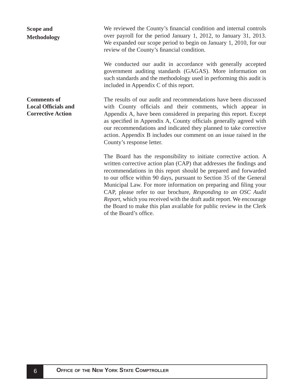## <span id="page-6-0"></span>**Scope and Methodology**

We reviewed the County's financial condition and internal controls over payroll for the period January 1, 2012, to January 31, 2013. We expanded our scope period to begin on January 1, 2010, for our review of the County's financial condition.

We conducted our audit in accordance with generally accepted government auditing standards (GAGAS). More information on such standards and the methodology used in performing this audit is included in Appendix C of this report.

The results of our audit and recommendations have been discussed with County officials and their comments, which appear in Appendix A, have been considered in preparing this report. Except as specified in Appendix A, County officials generally agreed with our recommendations and indicated they planned to take corrective action. Appendix B includes our comment on an issue raised in the County's response letter.

The Board has the responsibility to initiate corrective action. A written corrective action plan (CAP) that addresses the findings and recommendations in this report should be prepared and forwarded to our office within 90 days, pursuant to Section 35 of the General Municipal Law. For more information on preparing and filing your CAP, please refer to our brochure, *Responding to an OSC Audit Report*, which you received with the draft audit report. We encourage the Board to make this plan available for public review in the Clerk of the Board's office.

**Comments of Local Offi cials and Corrective Action**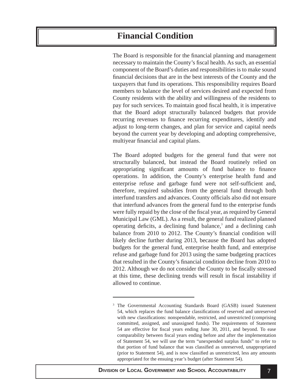# <span id="page-7-0"></span>**Financial Condition**

The Board is responsible for the financial planning and management necessary to maintain the County's fiscal health. As such, an essential component of the Board's duties and responsibilities is to make sound financial decisions that are in the best interests of the County and the taxpayers that fund its operations. This responsibility requires Board members to balance the level of services desired and expected from County residents with the ability and willingness of the residents to pay for such services. To maintain good fiscal health, it is imperative that the Board adopt structurally balanced budgets that provide recurring revenues to finance recurring expenditures, identify and adjust to long-term changes, and plan for service and capital needs beyond the current year by developing and adopting comprehensive, multiyear financial and capital plans.

The Board adopted budgets for the general fund that were not structurally balanced, but instead the Board routinely relied on appropriating significant amounts of fund balance to finance operations. In addition, the County's enterprise health fund and enterprise refuse and garbage fund were not self-sufficient and, therefore, required subsidies from the general fund through both interfund transfers and advances. County officials also did not ensure that interfund advances from the general fund to the enterprise funds were fully repaid by the close of the fiscal year, as required by General Municipal Law (GML). As a result, the general fund realized planned operating deficits, a declining fund balance, $3$  and a declining cash balance from 2010 to 2012. The County's financial condition will likely decline further during 2013, because the Board has adopted budgets for the general fund, enterprise health fund, and enterprise refuse and garbage fund for 2013 using the same budgeting practices that resulted in the County's financial condition decline from 2010 to 2012. Although we do not consider the County to be fiscally stressed at this time, these declining trends will result in fiscal instability if allowed to continue.

<sup>&</sup>lt;sup>3</sup> The Governmental Accounting Standards Board (GASB) issued Statement 54, which replaces the fund balance classifications of reserved and unreserved with new classifications: nonspendable, restricted, and unrestricted (comprising committed, assigned, and unassigned funds). The requirements of Statement 54 are effective for fiscal years ending June 30, 2011, and beyond. To ease comparability between fiscal years ending before and after the implementation of Statement 54, we will use the term "unexpended surplus funds" to refer to that portion of fund balance that was classified as unreserved, unappropriated (prior to Statement 54), and is now classified as unrestricted, less any amounts appropriated for the ensuing year's budget (after Statement 54).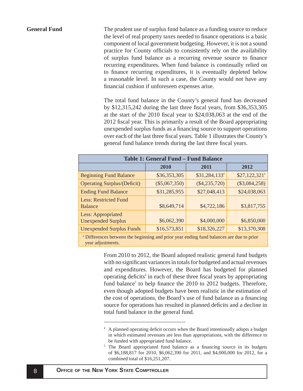#### <span id="page-8-0"></span>**General Fund**

The prudent use of surplus fund balance as a funding source to reduce the level of real property taxes needed to finance operations is a basic component of local government budgeting. However, it is not a sound practice for County officials to consistently rely on the availability of surplus fund balance as a recurring revenue source to finance recurring expenditures. When fund balance is continually relied on to finance recurring expenditures, it is eventually depleted below a reasonable level. In such a case, the County would not have any financial cushion if unforeseen expenses arise.

The total fund balance in the County's general fund has decreased by  $$12,315,242$  during the last three fiscal years, from  $$36,353,305$ at the start of the 2010 fiscal year to \$24,038,063 at the end of the 2012 fiscal year. This is primarily a result of the Board appropriating unexpended surplus funds as a financing source to support operations over each of the last three fiscal years. Table 1 illustrates the County's general fund balance trends during the last three fiscal years.

| <b>Table 1: General Fund - Fund Balance</b>                                             |                 |                            |                            |
|-----------------------------------------------------------------------------------------|-----------------|----------------------------|----------------------------|
|                                                                                         | 2010            | 2011                       | 2012                       |
| <b>Beginning Fund Balance</b>                                                           | \$36,353,305    | $$31,284,133$ <sup>a</sup> | $$27,122,321$ <sup>a</sup> |
| <b>Operating Surplus/(Deficit)</b>                                                      | $(\$5,067,350)$ | $(\$4,235,720)$            | $(\$3,084,258)$            |
| <b>Ending Fund Balance</b>                                                              | \$31,285,955    | \$27,048,413               | \$24,038,063               |
| <b>Less: Restricted Fund</b><br><b>Balance</b>                                          | \$8,649,714     | \$4,722,186                | \$3,817,755                |
| Less: Appropriated<br><b>Unexpended Surplus</b>                                         | \$6,062,390     | \$4,000,000                | \$6,850,000                |
| <b>Unexpended Surplus Funds</b>                                                         | \$16,573,851    | \$18,326,227               | \$13,370,308               |
| a Difference between the beginning and prior year anding fund belanges are due to prior |                 |                            |                            |

a Differences between the beginning and prior year ending fund balances are due to prior year adjustments.

> From 2010 to 2012, the Board adopted realistic general fund budgets with no significant variances in totals for budgeted and actual revenues and expenditures. However, the Board has budgeted for planned operating deficits<sup>4</sup> in each of these three fiscal years by appropriating fund balance<sup>5</sup> to help finance the 2010 to 2012 budgets. Therefore, even though adopted budgets have been realistic in the estimation of the cost of operations, the Board's use of fund balance as a financing source for operations has resulted in planned deficits and a decline in total fund balance in the general fund.

<sup>&</sup>lt;sup>4</sup> A planned operating deficit occurs when the Board intentionally adopts a budget in which estimated revenues are less than appropriations, with the difference to be funded with appropriated fund balance.

<sup>&</sup>lt;sup>5</sup> The Board appropriated fund balance as a financing source in its budgets of \$6,188,817 for 2010, \$6,062,390 for 2011, and \$4,000,000 for 2012, for a combined total of \$16,251,207.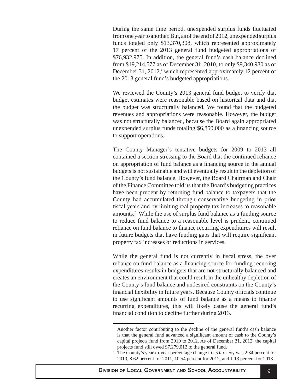During the same time period, unexpended surplus funds fluctuated from one year to another. But, as of the end of 2012, unexpended surplus funds totaled only \$13,370,308, which represented approximately 17 percent of the 2013 general fund budgeted appropriations of \$76,932,975. In addition, the general fund's cash balance declined from \$19,214,577 as of December 31, 2010, to only \$9,340,980 as of December 31, 2012,<sup>6</sup> which represented approximately 12 percent of the 2013 general fund's budgeted appropriations.

We reviewed the County's 2013 general fund budget to verify that budget estimates were reasonable based on historical data and that the budget was structurally balanced. We found that the budgeted revenues and appropriations were reasonable. However, the budget was not structurally balanced, because the Board again appropriated unexpended surplus funds totaling  $$6,850,000$  as a financing source to support operations.

The County Manager's tentative budgets for 2009 to 2013 all contained a section stressing to the Board that the continued reliance on appropriation of fund balance as a financing source in the annual budgets is not sustainable and will eventually result in the depletion of the County's fund balance. However, the Board Chairman and Chair of the Finance Committee told us that the Board's budgeting practices have been prudent by returning fund balance to taxpayers that the County had accumulated through conservative budgeting in prior fiscal years and by limiting real property tax increases to reasonable amounts.<sup>7</sup> While the use of surplus fund balance as a funding source to reduce fund balance to a reasonable level is prudent, continued reliance on fund balance to finance recurring expenditures will result in future budgets that have funding gaps that will require significant property tax increases or reductions in services.

While the general fund is not currently in fiscal stress, the over reliance on fund balance as a financing source for funding recurring expenditures results in budgets that are not structurally balanced and creates an environment that could result in the unhealthy depletion of the County's fund balance and undesired constraints on the County's financial flexibility in future years. Because County officials continue to use significant amounts of fund balance as a means to finance recurring expenditures, this will likely cause the general fund's financial condition to decline further during 2013.

<sup>6</sup> Another factor contributing to the decline of the general fund's cash balance is that the general fund advanced a significant amount of cash to the County's capital projects fund from 2010 to 2012. As of December 31, 2012, the capital projects fund still owed \$7,279,012 to the general fund.

<sup>7</sup> The County's year-to-year percentage change in its tax levy was 2.34 percent for 2010, 8.62 percent for 2011, 10.54 percent for 2012, and 1.13 percent for 2013.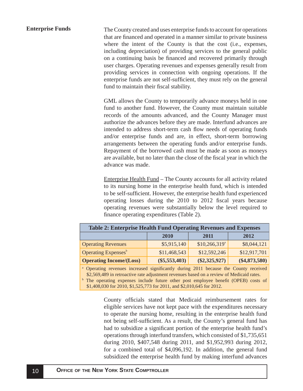<span id="page-10-0"></span>The County created and uses enterprise funds to account for operations that are financed and operated in a manner similar to private business where the intent of the County is that the cost (i.e., expenses, including depreciation) of providing services to the general public on a continuing basis be financed and recovered primarily through user charges. Operating revenues and expenses generally result from providing services in connection with ongoing operations. If the enterprise funds are not self-sufficient, they must rely on the general fund to maintain their fiscal stability. **Enterprise Funds**

> GML allows the County to temporarily advance moneys held in one fund to another fund. However, the County must maintain suitable records of the amounts advanced, and the County Manager must authorize the advances before they are made. Interfund advances are intended to address short-term cash flow needs of operating funds and/or enterprise funds and are, in effect, short-term borrowing arrangements between the operating funds and/or enterprise funds. Repayment of the borrowed cash must be made as soon as moneys are available, but no later than the close of the fiscal year in which the advance was made.

> Enterprise Health Fund – The County accounts for all activity related to its nursing home in the enterprise health fund, which is intended to be self-sufficient. However, the enterprise health fund experienced operating losses during the 2010 to 2012 fiscal years because operating revenues were substantially below the level required to finance operating expenditures (Table 2).

| <b>Table 2: Enterprise Health Fund Operating Revenues and Expenses</b> |                 |                            |                 |
|------------------------------------------------------------------------|-----------------|----------------------------|-----------------|
|                                                                        | 2010            | 2011                       | 2012            |
| <b>Operating Revenues</b>                                              | \$5,915,140     | $$10,266,319$ <sup>a</sup> | \$8,044,121     |
| Operating Expenses <sup>b</sup>                                        | \$11,468,543    | \$12,592,246               | \$12,917,701    |
| <b>Operating Income/(Loss)</b>                                         | $(\$5,553,403)$ | $(\$2,325,927)$            | $(\$4,873,580)$ |
|                                                                        |                 |                            |                 |

a Operating revenues increased significantly during 2011 because the County received \$2,569,489 in retroactive rate adjustment revenues based on a review of Medicaid rates.

<sup>b</sup> The operating expenses include future other post employee benefit (OPEB) costs of \$1,408,030 for 2010, \$1,525,773 for 2011, and \$2,010,645 for 2012.

> County officials stated that Medicaid reimbursement rates for eligible services have not kept pace with the expenditures necessary to operate the nursing home, resulting in the enterprise health fund not being self-sufficient. As a result, the County's general fund has had to subsidize a significant portion of the enterprise health fund's operations through interfund transfers, which consisted of \$1,735,651 during 2010, \$407,548 during 2011, and \$1,952,993 during 2012, for a combined total of \$4,096,192. In addition, the general fund subsidized the enterprise health fund by making interfund advances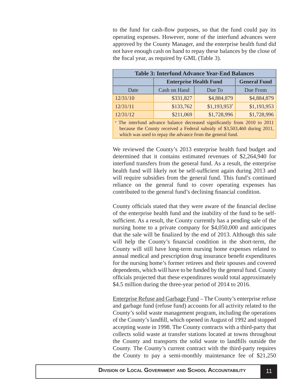to the fund for cash-flow purposes, so that the fund could pay its operating expenses. However, none of the interfund advances were approved by the County Manager, and the enterprise health fund did not have enough cash on hand to repay these balances by the close of the fiscal year, as required by GML (Table 3).

| <b>Table 3: Interfund Advance Year-End Balances</b>                                                                                                                                                                             |                                                      |                           |             |
|---------------------------------------------------------------------------------------------------------------------------------------------------------------------------------------------------------------------------------|------------------------------------------------------|---------------------------|-------------|
|                                                                                                                                                                                                                                 | <b>General Fund</b><br><b>Enterprise Health Fund</b> |                           |             |
| Date                                                                                                                                                                                                                            | Cash on Hand                                         | Due To                    | Due From    |
| 12/31/10                                                                                                                                                                                                                        | \$331,827                                            | \$4,884,879               | \$4,884,879 |
| 12/31/11                                                                                                                                                                                                                        | \$133,762                                            | $$1,193,953$ <sup>a</sup> | \$1,193,953 |
| 12/31/12                                                                                                                                                                                                                        | \$211,069                                            | \$1,728,996               | \$1,728,996 |
| <sup>a</sup> The interfund advance balance decreased significantly from 2010 to 2011<br>because the County received a Federal subsidy of \$3,503,460 during 2011,<br>which was used to repay the advance from the general fund. |                                                      |                           |             |

We reviewed the County's 2013 enterprise health fund budget and determined that it contains estimated revenues of \$2,264,940 for interfund transfers from the general fund. As a result, the enterprise health fund will likely not be self-sufficient again during 2013 and will require subsidies from the general fund. This fund's continued reliance on the general fund to cover operating expenses has contributed to the general fund's declining financial condition.

County officials stated that they were aware of the financial decline of the enterprise health fund and the inability of the fund to be selfsufficient. As a result, the County currently has a pending sale of the nursing home to a private company for \$4,050,000 and anticipates that the sale will be finalized by the end of 2013. Although this sale will help the County's financial condition in the short-term, the County will still have long-term nursing home expenses related to annual medical and prescription drug insurance benefit expenditures for the nursing home's former retirees and their spouses and covered dependents, which will have to be funded by the general fund. County officials projected that these expenditures would total approximately \$4.5 million during the three-year period of 2014 to 2016.

Enterprise Refuse and Garbage Fund – The County's enterprise refuse and garbage fund (refuse fund) accounts for all activity related to the County's solid waste management program, including the operations of the County's landfill, which opened in August of 1992 and stopped accepting waste in 1998. The County contracts with a third-party that collects solid waste at transfer stations located at towns throughout the County and transports the solid waste to landfills outside the County. The County's current contract with the third-party requires the County to pay a semi-monthly maintenance fee of \$21,250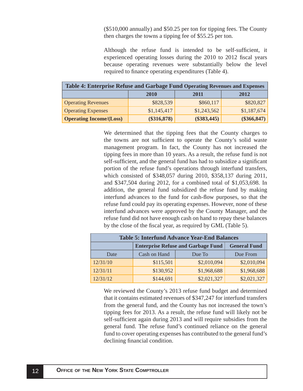(\$510,000 annually) and \$50.25 per ton for tipping fees. The County then charges the towns a tipping fee of \$55.25 per ton.

Although the refuse fund is intended to be self-sufficient, it experienced operating losses during the 2010 to 2012 fiscal years because operating revenues were substantially below the level required to finance operating expenditures (Table 4).

| Table 4: Enterprise Refuse and Garbage Fund Operating Revenues and Expenses |               |               |               |
|-----------------------------------------------------------------------------|---------------|---------------|---------------|
|                                                                             | 2010          | 2011          | 2012          |
| <b>Operating Revenues</b>                                                   | \$828,539     | \$860,117     | \$820,827     |
| <b>Operating Expenses</b>                                                   | \$1,145,417   | \$1,243,562   | \$1,187,674   |
| <b>Operating Income/(Loss)</b>                                              | $(\$316,878)$ | $(\$383,445)$ | $(\$366,847)$ |

We determined that the tipping fees that the County charges to the towns are not sufficient to operate the County's solid waste management program. In fact, the County has not increased the tipping fees in more than 10 years. As a result, the refuse fund is not self-sufficient, and the general fund has had to subsidize a significant portion of the refuse fund's operations through interfund transfers, which consisted of \$348,057 during 2010, \$358,137 during 2011, and \$347,504 during 2012, for a combined total of \$1,053,698. In addition, the general fund subsidized the refuse fund by making interfund advances to the fund for cash-flow purposes, so that the refuse fund could pay its operating expenses. However, none of these interfund advances were approved by the County Manager, and the refuse fund did not have enough cash on hand to repay these balances by the close of the fiscal year, as required by GML (Table 5).

| <b>Table 5: Interfund Advance Year-End Balances</b> |                                                                  |             |             |
|-----------------------------------------------------|------------------------------------------------------------------|-------------|-------------|
|                                                     | <b>Enterprise Refuse and Garbage Fund</b><br><b>General Fund</b> |             |             |
| Date                                                | Cash on Hand                                                     | Due To      | Due From    |
| 12/31/10                                            | \$115,501                                                        | \$2,010,094 | \$2,010,094 |
| 12/31/11                                            | \$130,952                                                        | \$1,968,688 | \$1,968,688 |
| 12/31/12                                            | \$144,691                                                        | \$2,021,327 | \$2,021,327 |

We reviewed the County's 2013 refuse fund budget and determined that it contains estimated revenues of \$347,247 for interfund transfers from the general fund, and the County has not increased the town's tipping fees for 2013. As a result, the refuse fund will likely not be self-sufficient again during 2013 and will require subsidies from the general fund. The refuse fund's continued reliance on the general fund to cover operating expenses has contributed to the general fund's declining financial condition.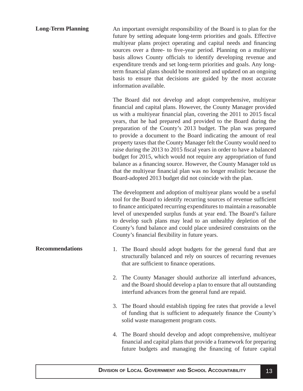<span id="page-13-0"></span>

| <b>Long-Term Planning</b> | An important oversight responsibility of the Board is to plan for the<br>future by setting adequate long-term priorities and goals. Effective<br>multiyear plans project operating and capital needs and financing<br>sources over a three- to five-year period. Planning on a multiyear<br>basis allows County officials to identify developing revenue and<br>expenditure trends and set long-term priorities and goals. Any long-<br>term financial plans should be monitored and updated on an ongoing<br>basis to ensure that decisions are guided by the most accurate<br>information available.                                                                                                                                                                                                                                                  |
|---------------------------|---------------------------------------------------------------------------------------------------------------------------------------------------------------------------------------------------------------------------------------------------------------------------------------------------------------------------------------------------------------------------------------------------------------------------------------------------------------------------------------------------------------------------------------------------------------------------------------------------------------------------------------------------------------------------------------------------------------------------------------------------------------------------------------------------------------------------------------------------------|
|                           | The Board did not develop and adopt comprehensive, multiyear<br>financial and capital plans. However, the County Manager provided<br>us with a multiyear financial plan, covering the 2011 to 2015 fiscal<br>years, that he had prepared and provided to the Board during the<br>preparation of the County's 2013 budget. The plan was prepared<br>to provide a document to the Board indicating the amount of real<br>property taxes that the County Manager felt the County would need to<br>raise during the 2013 to 2015 fiscal years in order to have a balanced<br>budget for 2015, which would not require any appropriation of fund<br>balance as a financing source. However, the County Manager told us<br>that the multiyear financial plan was no longer realistic because the<br>Board-adopted 2013 budget did not coincide with the plan. |
|                           | The development and adoption of multiyear plans would be a useful<br>tool for the Board to identify recurring sources of revenue sufficient<br>to finance anticipated recurring expenditures to maintain a reasonable<br>level of unexpended surplus funds at year end. The Board's failure                                                                                                                                                                                                                                                                                                                                                                                                                                                                                                                                                             |

level of unexpended surplus funds at year end. The Board's failure to develop such plans may lead to an unhealthy depletion of the County's fund balance and could place undesired constraints on the County's financial flexibility in future years.

- 1. The Board should adopt budgets for the general fund that are structurally balanced and rely on sources of recurring revenues that are sufficient to finance operations. **Recommendations**
	- 2. The County Manager should authorize all interfund advances, and the Board should develop a plan to ensure that all outstanding interfund advances from the general fund are repaid.
	- 3. The Board should establish tipping fee rates that provide a level of funding that is sufficient to adequately finance the County's solid waste management program costs.
	- 4. The Board should develop and adopt comprehensive, multiyear financial and capital plans that provide a framework for preparing future budgets and managing the financing of future capital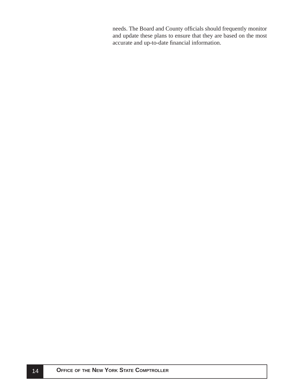needs. The Board and County officials should frequently monitor and update these plans to ensure that they are based on the most accurate and up-to-date financial information.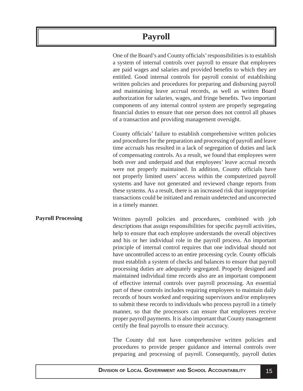# **Payroll**

<span id="page-15-0"></span>One of the Board's and County officials' responsibilities is to establish a system of internal controls over payroll to ensure that employees are paid wages and salaries and provided benefits to which they are entitled. Good internal controls for payroll consist of establishing written policies and procedures for preparing and disbursing payroll and maintaining leave accrual records, as well as written Board authorization for salaries, wages, and fringe benefits. Two important components of any internal control system are properly segregating financial duties to ensure that one person does not control all phases of a transaction and providing management oversight.

County officials' failure to establish comprehensive written policies and procedures for the preparation and processing of payroll and leave time accruals has resulted in a lack of segregation of duties and lack of compensating controls. As a result, we found that employees were both over and underpaid and that employees' leave accrual records were not properly maintained. In addition, County officials have not properly limited users' access within the computerized payroll systems and have not generated and reviewed change reports from these systems. As a result, there is an increased risk that inappropriate transactions could be initiated and remain undetected and uncorrected in a timely manner.

Written payroll policies and procedures, combined with job descriptions that assign responsibilities for specific payroll activities, help to ensure that each employee understands the overall objectives and his or her individual role in the payroll process. An important principle of internal control requires that one individual should not have uncontrolled access to an entire processing cycle. County officials must establish a system of checks and balances to ensure that payroll processing duties are adequately segregated. Properly designed and maintained individual time records also are an important component of effective internal controls over payroll processing. An essential part of these controls includes requiring employees to maintain daily records of hours worked and requiring supervisors and/or employees to submit these records to individuals who process payroll in a timely manner, so that the processors can ensure that employees receive proper payroll payments. It is also important that County management certify the final payrolls to ensure their accuracy. **Payroll Processing**

> The County did not have comprehensive written policies and procedures to provide proper guidance and internal controls over preparing and processing of payroll. Consequently, payroll duties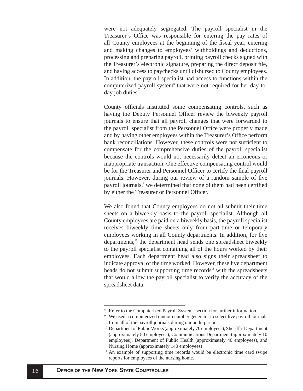were not adequately segregated. The payroll specialist in the Treasurer's Office was responsible for entering the pay rates of all County employees at the beginning of the fiscal year, entering and making changes to employees' withholdings and deductions, processing and preparing payroll, printing payroll checks signed with the Treasurer's electronic signature, preparing the direct deposit file, and having access to paychecks until disbursed to County employees. In addition, the payroll specialist had access to functions within the computerized payroll system<sup>8</sup> that were not required for her day-today job duties.

County officials instituted some compensating controls, such as having the Deputy Personnel Officer review the biweekly payroll journals to ensure that all payroll changes that were forwarded to the payroll specialist from the Personnel Office were properly made and by having other employees within the Treasurer's Office perform bank reconciliations. However, these controls were not sufficient to compensate for the comprehensive duties of the payroll specialist because the controls would not necessarily detect an erroneous or inappropriate transaction. One effective compensating control would be for the Treasurer and Personnel Officer to certify the final payroll journals. However, during our review of a random sample of five payroll journals,<sup>9</sup> we determined that none of them had been certified by either the Treasurer or Personnel Officer.

We also found that County employees do not all submit their time sheets on a biweekly basis to the payroll specialist. Although all County employees are paid on a biweekly basis, the payroll specialist receives biweekly time sheets only from part-time or temporary employees working in all County departments. In addition, for five departments,<sup>10</sup> the department head sends one spreadsheet biweekly to the payroll specialist containing all of the hours worked by their employees. Each department head also signs their spreadsheet to indicate approval of the time worked. However, these five department heads do not submit supporting time records<sup> $11$ </sup> with the spreadsheets that would allow the payroll specialist to verify the accuracy of the spreadsheet data.

<sup>&</sup>lt;sup>8</sup> Refer to the Computerized Payroll Systems section for further information.

<sup>&</sup>lt;sup>9</sup> We used a computerized random number generator to select five payroll journals from all of the payroll journals during our audit period.

<sup>&</sup>lt;sup>10</sup> Department of Public Works (approximately 70 employees), Sheriff's Department (approximately 80 employees), Communications Department (approximately 10 employees), Department of Public Health (approximately 40 employees), and Nursing Home (approximately 140 employees)

<sup>&</sup>lt;sup>11</sup> An example of supporting time records would be electronic time card swipe reports for employees of the nursing home.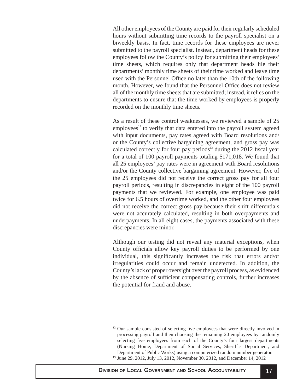All other employees of the County are paid for their regularly scheduled hours without submitting time records to the payroll specialist on a biweekly basis. In fact, time records for these employees are never submitted to the payroll specialist. Instead, department heads for these employees follow the County's policy for submitting their employees' time sheets, which requires only that department heads file their departments' monthly time sheets of their time worked and leave time used with the Personnel Office no later than the 10th of the following month. However, we found that the Personnel Office does not review all of the monthly time sheets that are submitted; instead, it relies on the departments to ensure that the time worked by employees is properly recorded on the monthly time sheets.

As a result of these control weaknesses, we reviewed a sample of 25 employees $12$  to verify that data entered into the payroll system agreed with input documents, pay rates agreed with Board resolutions and/ or the County's collective bargaining agreement, and gross pay was calculated correctly for four pay periods<sup>13</sup> during the 2012 fiscal year for a total of 100 payroll payments totaling \$171,018. We found that all 25 employees' pay rates were in agreement with Board resolutions and/or the County collective bargaining agreement. However, five of the 25 employees did not receive the correct gross pay for all four payroll periods, resulting in discrepancies in eight of the 100 payroll payments that we reviewed. For example, one employee was paid twice for 6.5 hours of overtime worked, and the other four employees did not receive the correct gross pay because their shift differentials were not accurately calculated, resulting in both overpayments and underpayments. In all eight cases, the payments associated with these discrepancies were minor.

Although our testing did not reveal any material exceptions, when County officials allow key payroll duties to be performed by one individual, this significantly increases the risk that errors and/or irregularities could occur and remain undetected. In addition, the County's lack of proper oversight over the payroll process, as evidenced by the absence of sufficient compensating controls, further increases the potential for fraud and abuse.

<sup>&</sup>lt;sup>12</sup> Our sample consisted of selecting five employees that were directly involved in processing payroll and then choosing the remaining 20 employees by randomly selecting five employees from each of the County's four largest departments (Nursing Home, Department of Social Services, Sheriff's Department, and Department of Public Works) using a computerized random number generator. 13 June 29, 2012, July 13, 2012, November 30, 2012, and December 14, 2012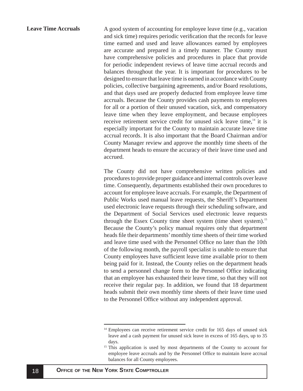<span id="page-18-0"></span>A good system of accounting for employee leave time (e.g., vacation and sick time) requires periodic verification that the records for leave time earned and used and leave allowances earned by employees are accurate and prepared in a timely manner. The County must have comprehensive policies and procedures in place that provide for periodic independent reviews of leave time accrual records and balances throughout the year. It is important for procedures to be designed to ensure that leave time is earned in accordance with County policies, collective bargaining agreements, and/or Board resolutions, and that days used are properly deducted from employee leave time accruals. Because the County provides cash payments to employees for all or a portion of their unused vacation, sick, and compensatory leave time when they leave employment, and because employees receive retirement service credit for unused sick leave time, $14$  it is especially important for the County to maintain accurate leave time accrual records. It is also important that the Board Chairman and/or County Manager review and approve the monthly time sheets of the department heads to ensure the accuracy of their leave time used and accrued. **Leave Time Accruals**

> The County did not have comprehensive written policies and procedures to provide proper guidance and internal controls over leave time. Consequently, departments established their own procedures to account for employee leave accruals. For example, the Department of Public Works used manual leave requests, the Sheriff's Department used electronic leave requests through their scheduling software, and the Department of Social Services used electronic leave requests through the Essex County time sheet system (time sheet system).<sup>15</sup> Because the County's policy manual requires only that department heads file their departments' monthly time sheets of their time worked and leave time used with the Personnel Office no later than the 10th of the following month, the payroll specialist is unable to ensure that County employees have sufficient leave time available prior to them being paid for it. Instead, the County relies on the department heads to send a personnel change form to the Personnel Office indicating that an employee has exhausted their leave time, so that they will not receive their regular pay. In addition, we found that 18 department heads submit their own monthly time sheets of their leave time used to the Personnel Office without any independent approval.

<sup>&</sup>lt;sup>14</sup> Employees can receive retirement service credit for 165 days of unused sick leave and a cash payment for unused sick leave in excess of 165 days, up to 35 days.

<sup>&</sup>lt;sup>15</sup> This application is used by most departments of the County to account for employee leave accruals and by the Personnel Office to maintain leave accrual balances for all County employees.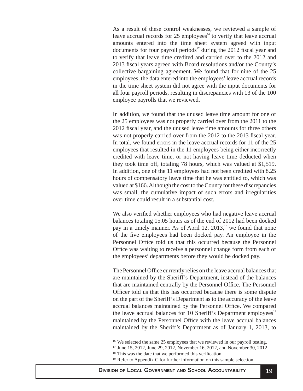As a result of these control weaknesses, we reviewed a sample of leave accrual records for  $25$  employees<sup>16</sup> to verify that leave accrual amounts entered into the time sheet system agreed with input documents for four payroll periods<sup>17</sup> during the 2012 fiscal year and to verify that leave time credited and carried over to the 2012 and 2013 fiscal years agreed with Board resolutions and/or the County's collective bargaining agreement. We found that for nine of the 25 employees, the data entered into the employees' leave accrual records in the time sheet system did not agree with the input documents for all four payroll periods, resulting in discrepancies with 13 of the 100 employee payrolls that we reviewed.

In addition, we found that the unused leave time amount for one of the 25 employees was not properly carried over from the 2011 to the 2012 fiscal year, and the unused leave time amounts for three others was not properly carried over from the 2012 to the 2013 fiscal year. In total, we found errors in the leave accrual records for 11 of the 25 employees that resulted in the 11 employees being either incorrectly credited with leave time, or not having leave time deducted when they took time off, totaling 78 hours, which was valued at \$1,519. In addition, one of the 11 employees had not been credited with 8.25 hours of compensatory leave time that he was entitled to, which was valued at \$166. Although the cost to the County for these discrepancies was small, the cumulative impact of such errors and irregularities over time could result in a substantial cost.

We also verified whether employees who had negative leave accrual balances totaling 15.05 hours as of the end of 2012 had been docked pay in a timely manner. As of April 12,  $2013$ ,<sup>18</sup> we found that none of the five employees had been docked pay. An employee in the Personnel Office told us that this occurred because the Personnel Office was waiting to receive a personnel change form from each of the employees' departments before they would be docked pay.

The Personnel Office currently relies on the leave accrual balances that are maintained by the Sheriff's Department, instead of the balances that are maintained centrally by the Personnel Office. The Personnel Officer told us that this has occurred because there is some dispute on the part of the Sheriff's Department as to the accuracy of the leave accrual balances maintained by the Personnel Office. We compared the leave accrual balances for 10 Sheriff's Department employees<sup>19</sup> maintained by the Personnel Office with the leave accrual balances maintained by the Sheriff's Department as of January 1, 2013, to

<sup>&</sup>lt;sup>16</sup> We selected the same 25 employees that we reviewed in our payroll testing.

<sup>17</sup> June 15, 2012, June 29, 2012, November 16, 2012, and November 30, 2012

 $18$  This was the date that we performed this verification.

<sup>&</sup>lt;sup>19</sup> Refer to Appendix C for further information on this sample selection.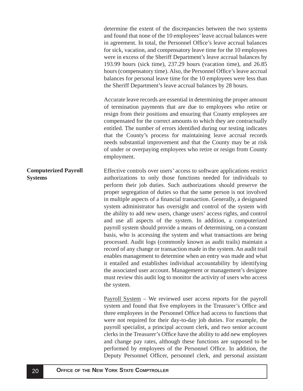<span id="page-20-0"></span>determine the extent of the discrepancies between the two systems and found that none of the 10 employees' leave accrual balances were in agreement. In total, the Personnel Office's leave accrual balances for sick, vacation, and compensatory leave time for the 10 employees were in excess of the Sheriff Department's leave accrual balances by 193.99 hours (sick time), 237.29 hours (vacation time), and 26.85 hours (compensatory time). Also, the Personnel Office's leave accrual balances for personal leave time for the 10 employees were less than the Sheriff Department's leave accrual balances by 28 hours.

Accurate leave records are essential in determining the proper amount of termination payments that are due to employees who retire or resign from their positions and ensuring that County employees are compensated for the correct amounts to which they are contractually entitled. The number of errors identified during our testing indicates that the County's process for maintaining leave accrual records needs substantial improvement and that the County may be at risk of under or overpaying employees who retire or resign from County employment.

Effective controls over users' access to software applications restrict authorizations to only those functions needed for individuals to perform their job duties. Such authorizations should preserve the proper segregation of duties so that the same person is not involved in multiple aspects of a financial transaction. Generally, a designated system administrator has oversight and control of the system with the ability to add new users, change users' access rights, and control and use all aspects of the system. In addition, a computerized payroll system should provide a means of determining, on a constant basis, who is accessing the system and what transactions are being processed. Audit logs (commonly known as audit trails) maintain a record of any change or transaction made in the system. An audit trail enables management to determine when an entry was made and what it entailed and establishes individual accountability by identifying the associated user account. Management or management's designee must review this audit log to monitor the activity of users who access the system. **Computerized Payroll Systems**

> Payroll System – We reviewed user access reports for the payroll system and found that five employees in the Treasurer's Office and three employees in the Personnel Office had access to functions that were not required for their day-to-day job duties. For example, the payroll specialist, a principal account clerk, and two senior account clerks in the Treasurer's Office have the ability to add new employees and change pay rates, although these functions are supposed to be performed by employees of the Personnel Office. In addition, the Deputy Personnel Officer, personnel clerk, and personal assistant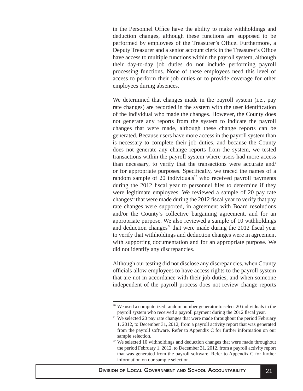in the Personnel Office have the ability to make withholdings and deduction changes, although these functions are supposed to be performed by employees of the Treasurer's Office. Furthermore, a Deputy Treasurer and a senior account clerk in the Treasurer's Office have access to multiple functions within the payroll system, although their day-to-day job duties do not include performing payroll processing functions. None of these employees need this level of access to perform their job duties or to provide coverage for other employees during absences.

We determined that changes made in the payroll system (i.e., pay rate changes) are recorded in the system with the user identification of the individual who made the changes. However, the County does not generate any reports from the system to indicate the payroll changes that were made, although these change reports can be generated. Because users have more access in the payroll system than is necessary to complete their job duties, and because the County does not generate any change reports from the system, we tested transactions within the payroll system where users had more access than necessary, to verify that the transactions were accurate and/ or for appropriate purposes. Specifically, we traced the names of a random sample of 20 individuals<sup>20</sup> who received payroll payments during the 2012 fiscal year to personnel files to determine if they were legitimate employees. We reviewed a sample of 20 pay rate changes<sup>21</sup> that were made during the 2012 fiscal year to verify that pay rate changes were supported, in agreement with Board resolutions and/or the County's collective bargaining agreement, and for an appropriate purpose. We also reviewed a sample of 10 withholdings and deduction changes<sup>22</sup> that were made during the 2012 fiscal year to verify that withholdings and deduction changes were in agreement with supporting documentation and for an appropriate purpose. We did not identify any discrepancies.

Although our testing did not disclose any discrepancies, when County officials allow employees to have access rights to the payroll system that are not in accordance with their job duties, and when someone independent of the payroll process does not review change reports

<sup>&</sup>lt;sup>20</sup> We used a computerized random number generator to select 20 individuals in the payroll system who received a payroll payment during the 2012 fiscal year.

<sup>&</sup>lt;sup>21</sup> We selected 20 pay rate changes that were made throughout the period February 1, 2012, to December 31, 2012, from a payroll activity report that was generated from the payroll software. Refer to Appendix C for further information on our sample selection.

 $22$  We selected 10 withholdings and deduction changes that were made throughout the period February 1, 2012, to December 31, 2012, from a payroll activity report that was generated from the payroll software. Refer to Appendix C for further information on our sample selection.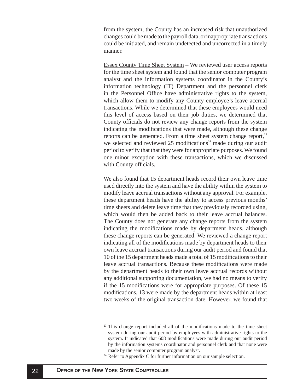from the system, the County has an increased risk that unauthorized changes could be made to the payroll data, or inappropriate transactions could be initiated, and remain undetected and uncorrected in a timely manner.

Essex County Time Sheet System – We reviewed user access reports for the time sheet system and found that the senior computer program analyst and the information systems coordinator in the County's information technology (IT) Department and the personnel clerk in the Personnel Office have administrative rights to the system, which allow them to modify any County employee's leave accrual transactions. While we determined that these employees would need this level of access based on their job duties, we determined that County officials do not review any change reports from the system indicating the modifications that were made, although these change reports can be generated. From a time sheet system change report, $^{23}$ we selected and reviewed  $25$  modifications<sup>24</sup> made during our audit period to verify that that they were for appropriate purposes. We found one minor exception with these transactions, which we discussed with County officials.

We also found that 15 department heads record their own leave time used directly into the system and have the ability within the system to modify leave accrual transactions without any approval. For example, these department heads have the ability to access previous months' time sheets and delete leave time that they previously recorded using, which would then be added back to their leave accrual balances. The County does not generate any change reports from the system indicating the modifications made by department heads, although these change reports can be generated. We reviewed a change report indicating all of the modifications made by department heads to their own leave accrual transactions during our audit period and found that 10 of the 15 department heads made a total of 15 modifications to their leave accrual transactions. Because these modifications were made by the department heads to their own leave accrual records without any additional supporting documentation, we had no means to verify if the 15 modifications were for appropriate purposes. Of these 15 modifications, 13 were made by the department heads within at least two weeks of the original transaction date. However, we found that

 $23$  This change report included all of the modifications made to the time sheet system during our audit period by employees with administrative rights to the system. It indicated that 608 modifications were made during our audit period by the information systems coordinator and personnel clerk and that none were made by the senior computer program analyst.

<sup>&</sup>lt;sup>24</sup> Refer to Appendix C for further information on our sample selection.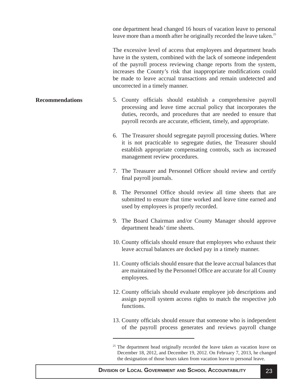one department head changed 16 hours of vacation leave to personal leave more than a month after he originally recorded the leave taken.<sup>25</sup>

The excessive level of access that employees and department heads have in the system, combined with the lack of someone independent of the payroll process reviewing change reports from the system, increases the County's risk that inappropriate modifications could be made to leave accrual transactions and remain undetected and uncorrected in a timely manner.

- <span id="page-23-0"></span>5. County officials should establish a comprehensive payroll processing and leave time accrual policy that incorporates the duties, records, and procedures that are needed to ensure that payroll records are accurate, efficient, timely, and appropriate. **Recommendations**
	- 6. The Treasurer should segregate payroll processing duties. Where it is not practicable to segregate duties, the Treasurer should establish appropriate compensating controls, such as increased management review procedures.
	- 7. The Treasurer and Personnel Officer should review and certify final payroll journals.
	- 8. The Personnel Office should review all time sheets that are submitted to ensure that time worked and leave time earned and used by employees is properly recorded.
	- 9. The Board Chairman and/or County Manager should approve department heads' time sheets.
	- 10. County officials should ensure that employees who exhaust their leave accrual balances are docked pay in a timely manner.
	- 11. County officials should ensure that the leave accrual balances that are maintained by the Personnel Office are accurate for all County employees.
	- 12. County officials should evaluate employee job descriptions and assign payroll system access rights to match the respective job functions.
	- 13. County officials should ensure that someone who is independent of the payroll process generates and reviews payroll change

 $25$  The department head originally recorded the leave taken as vacation leave on December 18, 2012, and December 19, 2012. On February 7, 2013, he changed the designation of those hours taken from vacation leave to personal leave.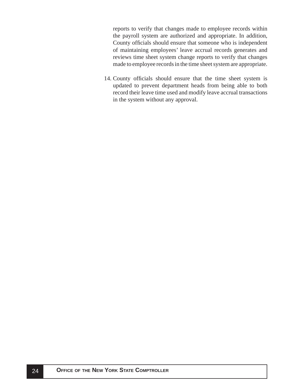reports to verify that changes made to employee records within the payroll system are authorized and appropriate. In addition, County officials should ensure that someone who is independent of maintaining employees' leave accrual records generates and reviews time sheet system change reports to verify that changes made to employee records in the time sheet system are appropriate.

14. County officials should ensure that the time sheet system is updated to prevent department heads from being able to both record their leave time used and modify leave accrual transactions in the system without any approval.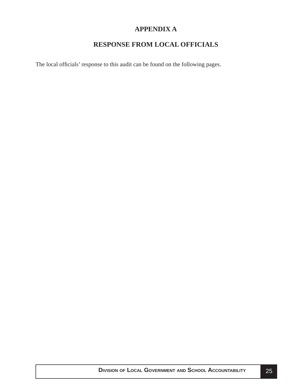# **APPENDIX A**

# **RESPONSE FROM LOCAL OFFICIALS**

<span id="page-25-0"></span>The local officials' response to this audit can be found on the following pages.

**DIVISION OF LOCAL GOVERNMENT AND SCHOOL ACCOUNTABILITY** 25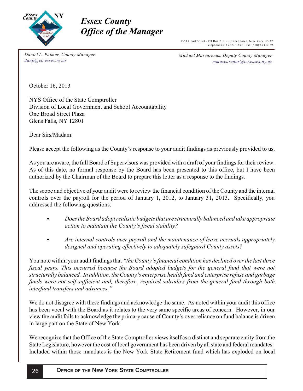

# *Office of the <i>l Office of the Manager*

7551 Court Street - PO Box 217 - Elizabethtown, New York 12932 Telephone (518) 873-3333 - Fax (518) 873-3339

*Daniel L. Palmer, County Manager danp@co.essex.ny.us*

*Michael Mascarenas, Deputy County Manager mmascarenas@co.essex.ny.us*

October 16, 2013

NYS Office of the State Comptroller Division of Local Government and School Accountability One Broad Street Plaza Glens Falls, NY 12801

Dear Sirs/Madam:

Please accept the following as the County's response to your audit findings as previously provided to us.

As you are aware, the full Board of Supervisors was provided with a draft of your findings for their review. As of this date, no formal response by the Board has been presented to this office, but I have been authorized by the Chairman of the Board to prepare this letter as a response to the findings.

The scope and objective of your audit were to review the financial condition of the County and the internal controls over the payroll for the period of January 1, 2012, to January 31, 2013. Specifically, you addressed the following questions:

- *Does the Board adopt realistic budgets that are structurally balanced and take appropriate action to maintain the County's fiscal stability?*
- *Are internal controls over payroll and the maintenance of leave accruals appropriately designed and operating effectively to adequately safeguard County assets?*

You note within your audit findings that *"the County's financial condition has declined over the last three fiscal years. This occurred because the Board adopted budgets for the general fund that were not structurally balanced. In addition, the County's enterprise health fund and enterprise refuse and garbage funds were not self-sufficient and, therefore, required subsidies from the general fund through both interfund transfers and advances."*

We do not disagree with these findings and acknowledge the same. As noted within your audit this office has been vocal with the Board as it relates to the very same specific areas of concern. However, in our view the audit fails to acknowledge the primary cause of County's over reliance on fund balance is driven in large part on the State of New York.

We recognize that the Office of the State Comptroller views itself as a distinct and separate entity from the State Legislature, however the cost of local government has been driven by all state and federal mandates. Included within those mandates is the New York State Retirement fund which has exploded on local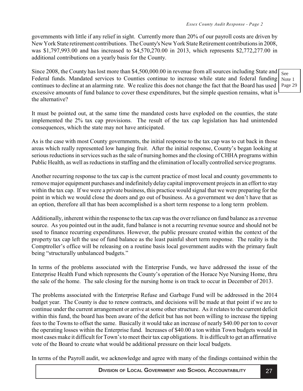governments with little if any relief in sight. Currently more than 20% of our payroll costs are driven by New York State retirement contributions. The County's New York State Retirement contributions in 2008, was \$1,797,993.00 and has increased to \$4,570,270.00 in 2013, which represents \$2,772,277.00 in additional contributions on a yearly basis for the County.

Since 2008, the County has lost more than \$4,500,000.00 in revenue from all sources including State and Federal funds. Mandated services to Counties continue to increase while state and federal funding continues to decline at an alarming rate. We realize this does not change the fact that the Board has used excessive amounts of fund balance to cover these expenditures, but the simple question remains, what is the alternative?

It must be pointed out, at the same time the mandated costs have exploded on the counties, the state implemented the 2% tax cap provisions. The result of the tax cap legislation has had unintended consequences, which the state may not have anticipated.

As is the case with most County governments, the initial response to the tax cap was to cut back in those areas which really represented low hanging fruit. After the initial response, County's began looking at serious reductions in services such as the sale of nursing homes and the closing of CHHA programs within Public Health, as well as reductions in staffing and the elimination of locally controlled service programs.

Another recurring response to the tax cap is the current practice of most local and county governments to remove major equipment purchases and indefinitely delay capital improvement projects in an effort to stay within the tax cap. If we were a private business, this practice would signal that we were preparing for the point in which we would close the doors and go out of business. As a government we don't have that as an option, therefore all that has been accomplished is a short term response to a long term problem.

Additionally, inherent within the response to the tax cap was the over reliance on fund balance as a revenue source. As you pointed out in the audit, fund balance is not a recurring revenue source and should not be used to finance recurring expenditures. However, the public pressure created within the context of the property tax cap left the use of fund balance as the least painful short term response. The reality is the Comptroller's office will be releasing on a routine basis local government audits with the primary fault being "structurally unbalanced budgets."

In terms of the problems associated with the Enterprise Funds, we have addressed the issue of the Enterprise Health Fund which represents the County's operation of the Horace Nye Nursing Home, thru the sale of the home. The sale closing for the nursing home is on track to occur in December of 2013.

The problems associated with the Enterprise Refuse and Garbage Fund will be addressed in the 2014 budget year. The County is due to renew contracts, and decisions will be made at that point if we are to continue under the current arrangement or arrive at some other structure. As it relates to the current deficit within this fund, the board has been aware of the deficit but has not been willing to increase the tipping fees to the Towns to offset the same. Basically it would take an increase of nearly \$40.00 per ton to cover the operating losses within the Enterprise fund. Increases of \$40.00 a ton within Town budgets would in most cases make it difficult for Town's to meet their tax cap obligations. It is difficult to get an affirmative vote of the Board to create what would be additional pressure on their local budgets.

In terms of the Payroll audit, we acknowledge and agree with many of the findings contained within the

See Note 1 Page 29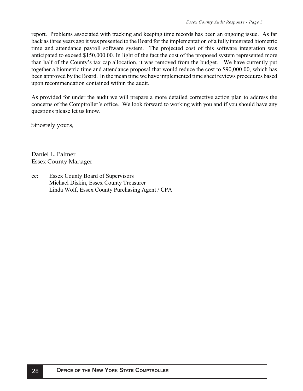report. Problems associated with tracking and keeping time records has been an ongoing issue. As far back as three years ago it was presented to the Board for the implementation of a fully integrated biometric time and attendance payroll software system. The projected cost of this software integration was anticipated to exceed \$150,000.00. In light of the fact the cost of the proposed system represented more than half of the County's tax cap allocation, it was removed from the budget. We have currently put together a biometric time and attendance proposal that would reduce the cost to \$90,000.00, which has been approved by the Board. In the mean time we have implemented time sheet reviews procedures based upon recommendation contained within the audit.

As provided for under the audit we will prepare a more detailed corrective action plan to address the concerns of the Comptroller's office. We look forward to working with you and if you should have any questions please let us know.

Sincerely yours,

Daniel L. Palmer n<br>Regev County Me  $E$ ssex County Manager

cc: Essex County Board of Supervisors Michael Diskin, Essex County Treasurer Linda Wolf, Essex County Purchasing Agent / CPA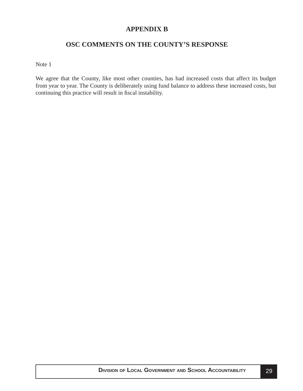## **APPENDIX B**

# **OSC COMMENTS ON THE COUNTY'S RESPONSE**

<span id="page-29-0"></span>Note 1

We agree that the County, like most other counties, has had increased costs that affect its budget from year to year. The County is deliberately using fund balance to address these increased costs, but continuing this practice will result in fiscal instability.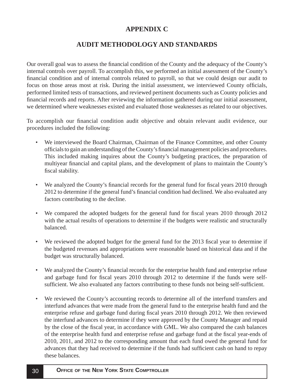# **APPENDIX C**

# **AUDIT METHODOLOGY AND STANDARDS**

<span id="page-30-0"></span>Our overall goal was to assess the financial condition of the County and the adequacy of the County's internal controls over payroll. To accomplish this, we performed an initial assessment of the County's financial condition and of internal controls related to payroll, so that we could design our audit to focus on those areas most at risk. During the initial assessment, we interviewed County officials, performed limited tests of transactions, and reviewed pertinent documents such as County policies and financial records and reports. After reviewing the information gathered during our initial assessment, we determined where weaknesses existed and evaluated those weaknesses as related to our objectives.

To accomplish our financial condition audit objective and obtain relevant audit evidence, our procedures included the following:

- We interviewed the Board Chairman, Chairman of the Finance Committee, and other County officials to gain an understanding of the County's financial management policies and procedures. This included making inquires about the County's budgeting practices, the preparation of multiyear financial and capital plans, and the development of plans to maintain the County's fiscal stability.
- We analyzed the County's financial records for the general fund for fiscal years 2010 through 2012 to determine if the general fund's financial condition had declined. We also evaluated any factors contributing to the decline.
- We compared the adopted budgets for the general fund for fiscal years 2010 through 2012 with the actual results of operations to determine if the budgets were realistic and structurally balanced.
- We reviewed the adopted budget for the general fund for the 2013 fiscal year to determine if the budgeted revenues and appropriations were reasonable based on historical data and if the budget was structurally balanced.
- We analyzed the County's financial records for the enterprise health fund and enterprise refuse and garbage fund for fiscal years 2010 through 2012 to determine if the funds were selfsufficient. We also evaluated any factors contributing to these funds not being self-sufficient.
- We reviewed the County's accounting records to determine all of the interfund transfers and interfund advances that were made from the general fund to the enterprise health fund and the enterprise refuse and garbage fund during fiscal years 2010 through 2012. We then reviewed the interfund advances to determine if they were approved by the County Manager and repaid by the close of the fiscal year, in accordance with GML. We also compared the cash balances of the enterprise health fund and enterprise refuse and garbage fund at the fiscal year-ends of 2010, 2011, and 2012 to the corresponding amount that each fund owed the general fund for advances that they had received to determine if the funds had sufficient cash on hand to repay these balances.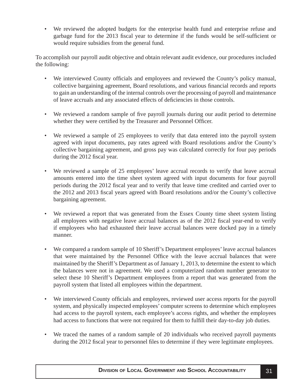• We reviewed the adopted budgets for the enterprise health fund and enterprise refuse and garbage fund for the 2013 fiscal year to determine if the funds would be self-sufficient or would require subsidies from the general fund.

To accomplish our payroll audit objective and obtain relevant audit evidence, our procedures included the following:

- We interviewed County officials and employees and reviewed the County's policy manual, collective bargaining agreement, Board resolutions, and various financial records and reports to gain an understanding of the internal controls over the processing of payroll and maintenance of leave accruals and any associated effects of deficiencies in those controls.
- We reviewed a random sample of five payroll journals during our audit period to determine whether they were certified by the Treasurer and Personnel Officer.
- We reviewed a sample of 25 employees to verify that data entered into the payroll system agreed with input documents, pay rates agreed with Board resolutions and/or the County's collective bargaining agreement, and gross pay was calculated correctly for four pay periods during the 2012 fiscal year.
- We reviewed a sample of 25 employees' leave accrual records to verify that leave accrual amounts entered into the time sheet system agreed with input documents for four payroll periods during the 2012 fiscal year and to verify that leave time credited and carried over to the 2012 and 2013 fiscal years agreed with Board resolutions and/or the County's collective bargaining agreement.
- We reviewed a report that was generated from the Essex County time sheet system listing all employees with negative leave accrual balances as of the 2012 fiscal year-end to verify if employees who had exhausted their leave accrual balances were docked pay in a timely manner.
- We compared a random sample of 10 Sheriff's Department employees' leave accrual balances that were maintained by the Personnel Office with the leave accrual balances that were maintained by the Sheriff's Department as of January 1, 2013, to determine the extent to which the balances were not in agreement. We used a computerized random number generator to select these 10 Sheriff's Department employees from a report that was generated from the payroll system that listed all employees within the department.
- We interviewed County officials and employees, reviewed user access reports for the payroll system, and physically inspected employees' computer screens to determine which employees had access to the payroll system, each employee's access rights, and whether the employees had access to functions that were not required for them to fulfill their day-to-day job duties.
- We traced the names of a random sample of 20 individuals who received payroll payments during the 2012 fiscal year to personnel files to determine if they were legitimate employees.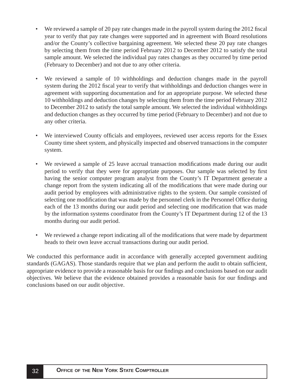- We reviewed a sample of 20 pay rate changes made in the payroll system during the 2012 fiscal year to verify that pay rate changes were supported and in agreement with Board resolutions and/or the County's collective bargaining agreement. We selected these 20 pay rate changes by selecting them from the time period February 2012 to December 2012 to satisfy the total sample amount. We selected the individual pay rates changes as they occurred by time period (February to December) and not due to any other criteria.
- We reviewed a sample of 10 withholdings and deduction changes made in the payroll system during the 2012 fiscal year to verify that withholdings and deduction changes were in agreement with supporting documentation and for an appropriate purpose. We selected these 10 withholdings and deduction changes by selecting them from the time period February 2012 to December 2012 to satisfy the total sample amount. We selected the individual withholdings and deduction changes as they occurred by time period (February to December) and not due to any other criteria.
- We interviewed County officials and employees, reviewed user access reports for the Essex County time sheet system, and physically inspected and observed transactions in the computer system.
- We reviewed a sample of 25 leave accrual transaction modifications made during our audit period to verify that they were for appropriate purposes. Our sample was selected by first having the senior computer program analyst from the County's IT Department generate a change report from the system indicating all of the modifications that were made during our audit period by employees with administrative rights to the system. Our sample consisted of selecting one modification that was made by the personnel clerk in the Personnel Office during each of the 13 months during our audit period and selecting one modification that was made by the information systems coordinator from the County's IT Department during 12 of the 13 months during our audit period.
- We reviewed a change report indicating all of the modifications that were made by department heads to their own leave accrual transactions during our audit period.

We conducted this performance audit in accordance with generally accepted government auditing standards (GAGAS). Those standards require that we plan and perform the audit to obtain sufficient, appropriate evidence to provide a reasonable basis for our findings and conclusions based on our audit objectives. We believe that the evidence obtained provides a reasonable basis for our findings and conclusions based on our audit objective.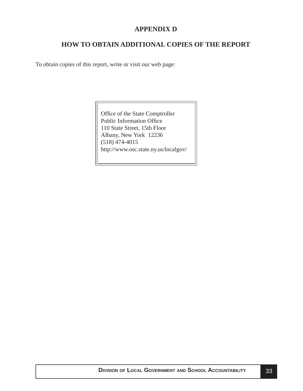## **APPENDIX D**

# **HOW TO OBTAIN ADDITIONAL COPIES OF THE REPORT**

<span id="page-33-0"></span>To obtain copies of this report, write or visit our web page:

Office of the State Comptroller Public Information Office 110 State Street, 15th Floor Albany, New York 12236 (518) 474-4015 http://www.osc.state.ny.us/localgov/